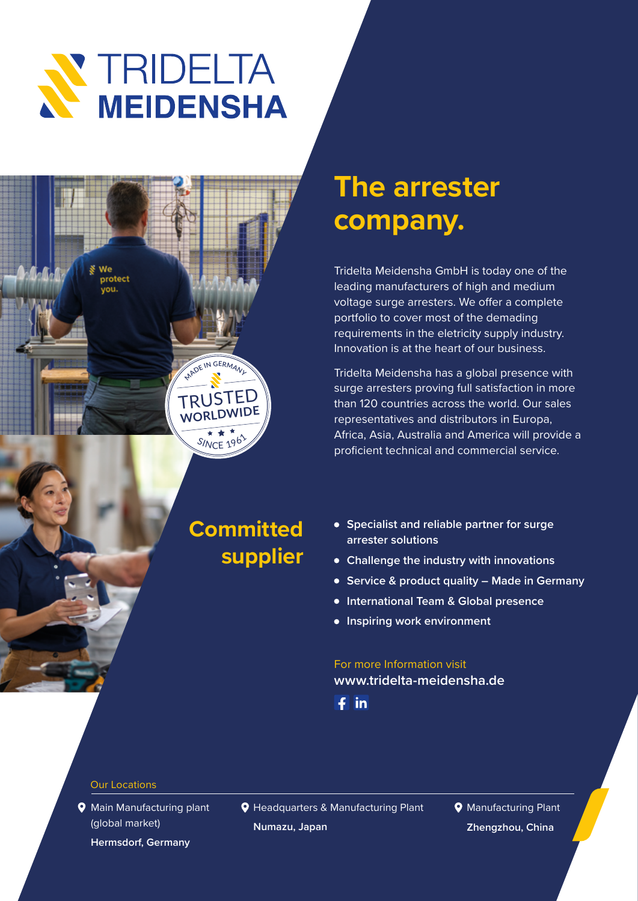



SINCE 196

**WORLDWIDE**

## **The arrester company.**

Tridelta Meidensha GmbH is today one of the leading manufacturers of high and medium voltage surge arresters. We offer a complete portfolio to cover most of the demading requirements in the eletricity supply industry. Innovation is at the heart of our business.

Tridelta Meidensha has a global presence with surge arresters proving full satisfaction in more than 120 countries across the world. Our sales representatives and distributors in Europa, Africa, Asia, Australia and America will provide a proficient technical and commercial service.

## **Committed supplier**

- **Specialist and reliable partner for surge arrester solutions**
- **Challenge the industry with innovations**
- **Service & product quality Made in Germany**
- **International Team & Global presence**
- **Inspiring work environment**

### For more Information visit **www.tridelta-meidensha.de**

 $f$  in

#### Our Locations

**Q** Main Manufacturing plant (global market)

**Hermsdorf, Germany** 

**Q** Headquarters & Manufacturing Plant **Numazu, Japan**

**9** Manufacturing Plant **Zhengzhou, China**